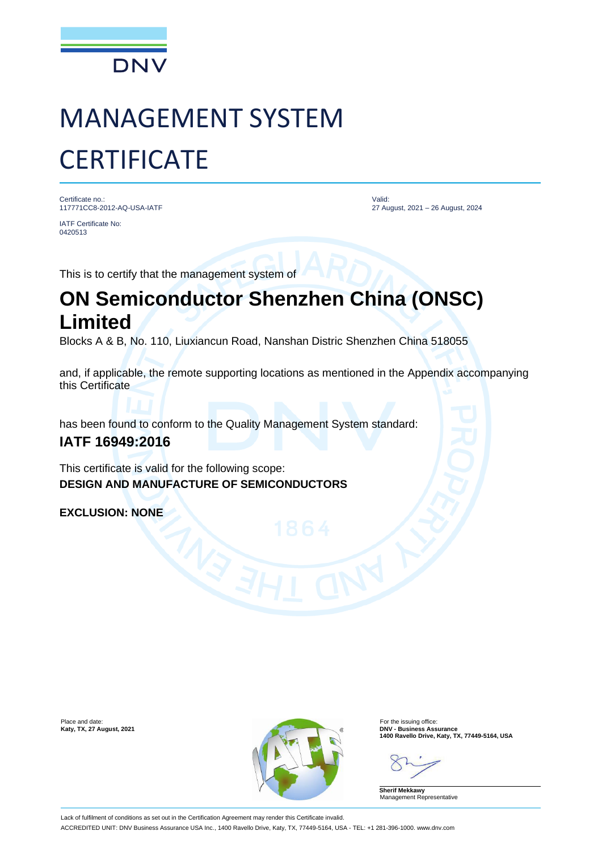

# MANAGEMENT SYSTEM **CERTIFICATE**

Certificate no.: 117771CC8-2012-AQ-USA-IATF

IATF Certificate No: 0420513

Valid: 27 August, 2021 – 26 August, 2024

This is to certify that the management system of

## **ON Semiconductor Shenzhen China (ONSC) Limited**

Blocks A & B, No. 110, Liuxiancun Road, Nanshan Distric Shenzhen China 518055

and, if applicable, the remote supporting locations as mentioned in the Appendix accompanying this Certificate

has been found to conform to the Quality Management System standard:

### **IATF 16949:2016**

This certificate is valid for the following scope: **DESIGN AND MANUFACTURE OF SEMICONDUCTORS**

**EXCLUSION: NONE**



**Katy, TX, 27 August, 2021**<br>
■1400 Ravello Drive, Katy, TX, 77449-5164, USA<br>
■1400 Ravello Drive, Katy, TX, 77449-5164, USA

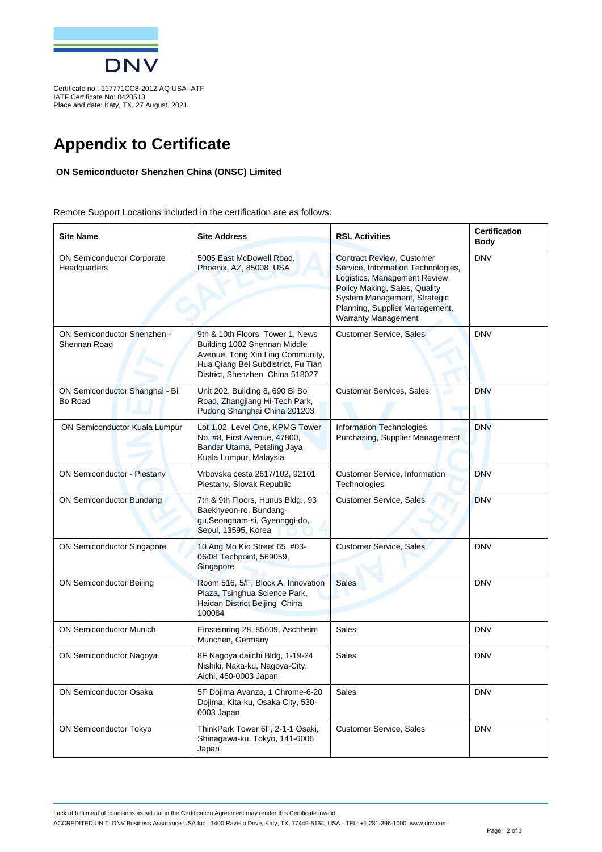

IATF Certificate No: 0420513 Place and date: Katy, TX, 27 August, 2021

## **Appendix to Certificate**

#### **ON Semiconductor Shenzhen China (ONSC) Limited**

Remote Support Locations included in the certification are as follows:

| <b>Site Name</b>                                   | <b>Site Address</b>                                                                                                                                                           | <b>RSL Activities</b>                                                                                                                                                                                                                    | <b>Certification</b><br>Body |
|----------------------------------------------------|-------------------------------------------------------------------------------------------------------------------------------------------------------------------------------|------------------------------------------------------------------------------------------------------------------------------------------------------------------------------------------------------------------------------------------|------------------------------|
| ON Semiconductor Corporate<br>Headquarters         | 5005 East McDowell Road.<br>Phoenix, AZ, 85008, USA                                                                                                                           | <b>Contract Review, Customer</b><br>Service, Information Technologies,<br>Logistics, Management Review,<br>Policy Making, Sales, Quality<br>System Management, Strategic<br>Planning, Supplier Management,<br><b>Warranty Management</b> | <b>DNV</b>                   |
| <b>ON Semiconductor Shenzhen -</b><br>Shennan Road | 9th & 10th Floors, Tower 1, News<br>Building 1002 Shennan Middle<br>Avenue, Tong Xin Ling Community,<br>Hua Qiang Bei Subdistrict, Fu Tian<br>District, Shenzhen China 518027 | <b>Customer Service, Sales</b>                                                                                                                                                                                                           | <b>DNV</b>                   |
| ON Semiconductor Shanghai - Bi<br>Bo Road          | Unit 202, Building 8, 690 Bi Bo<br>Road, Zhangjiang Hi-Tech Park,<br>Pudong Shanghai China 201203                                                                             | <b>Customer Services, Sales</b><br>s. A                                                                                                                                                                                                  | <b>DNV</b>                   |
| ON Semiconductor Kuala Lumpur                      | Lot 1.02, Level One, KPMG Tower<br>No. #8, First Avenue, 47800,<br>Bandar Utama, Petaling Jaya,<br>Kuala Lumpur, Malaysia                                                     | Information Technologies,<br>Purchasing, Supplier Management                                                                                                                                                                             | <b>DNV</b>                   |
| <b>ON Semiconductor - Piestany</b>                 | Vrbovska cesta 2617/102, 92101<br>Piestany, Slovak Republic                                                                                                                   | <b>Customer Service, Information</b><br>Technologies                                                                                                                                                                                     | <b>DNV</b>                   |
| <b>ON Semiconductor Bundang</b>                    | 7th & 9th Floors, Hunus Bldg., 93<br>Baekhyeon-ro, Bundang-<br>gu, Seongnam-si, Gyeonggi-do,<br>Seoul, 13595, Korea                                                           | <b>Customer Service, Sales</b>                                                                                                                                                                                                           | <b>DNV</b>                   |
| <b>ON Semiconductor Singapore</b>                  | 10 Ang Mo Kio Street 65, #03-<br>06/08 Techpoint, 569059,<br>Singapore                                                                                                        | <b>Customer Service, Sales</b>                                                                                                                                                                                                           | <b>DNV</b>                   |
| <b>ON Semiconductor Beijing</b>                    | Room 516, 5/F, Block A, Innovation<br>Plaza, Tsinghua Science Park,<br>Haidan District Beijing China<br>100084                                                                | <b>Sales</b>                                                                                                                                                                                                                             | <b>DNV</b>                   |
| <b>ON Semiconductor Munich</b>                     | Einsteinring 28, 85609, Aschheim<br>Munchen, Germany                                                                                                                          | <b>Sales</b>                                                                                                                                                                                                                             | <b>DNV</b>                   |
| ON Semiconductor Nagoya                            | 8F Nagoya daiichi Bldg, 1-19-24<br>Nishiki, Naka-ku, Nagoya-City,<br>Aichi, 460-0003 Japan                                                                                    | Sales                                                                                                                                                                                                                                    | <b>DNV</b>                   |
| <b>ON Semiconductor Osaka</b>                      | 5F Dojima Avanza, 1 Chrome-6-20<br>Dojima, Kita-ku, Osaka City, 530-<br>0003 Japan                                                                                            | Sales                                                                                                                                                                                                                                    | <b>DNV</b>                   |
| <b>ON Semiconductor Tokyo</b>                      | ThinkPark Tower 6F, 2-1-1 Osaki,<br>Shinagawa-ku, Tokyo, 141-6006<br>Japan                                                                                                    | <b>Customer Service, Sales</b>                                                                                                                                                                                                           | <b>DNV</b>                   |

ACCREDITED UNIT: DNV Business Assurance USA Inc., 1400 Ravello Drive, Katy, TX, 77449-5164, USA - TEL: +1 281-396-1000. www.dnv.com